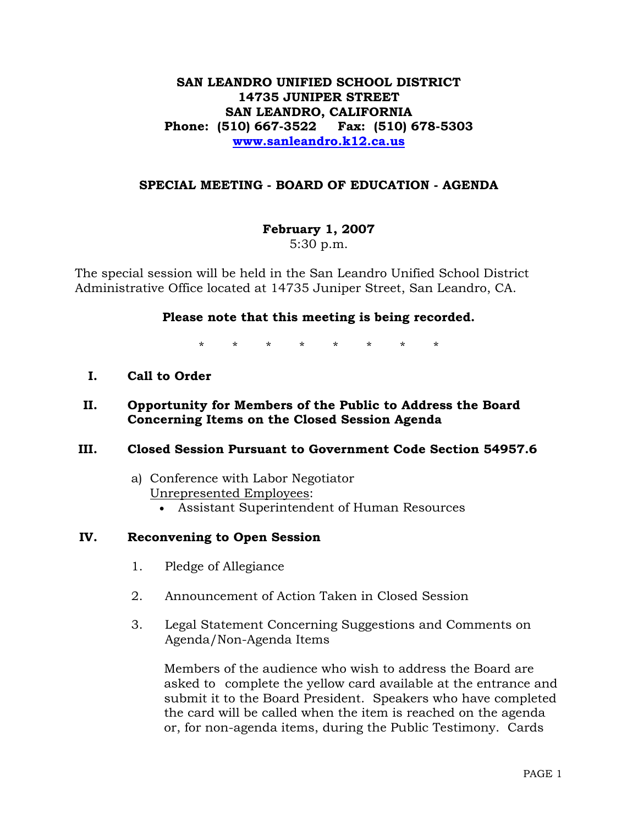# **SAN LEANDRO UNIFIED SCHOOL DISTRICT 14735 JUNIPER STREET SAN LEANDRO, CALIFORNIA Phone: (510) 667-3522 Fax: (510) 678-5303 www.sanleandro.k12.ca.us**

## **SPECIAL MEETING - BOARD OF EDUCATION - AGENDA**

**February 1, 2007**  5:30 p.m.

The special session will be held in the San Leandro Unified School District Administrative Office located at 14735 Juniper Street, San Leandro, CA.

### **Please note that this meeting is being recorded.**

\* \* \* \* \* \* \* \*

**I. Call to Order** 

## **II. Opportunity for Members of the Public to Address the Board Concerning Items on the Closed Session Agenda**

### **III. Closed Session Pursuant to Government Code Section 54957.6**

# a) Conference with Labor Negotiator Unrepresented Employees:

• Assistant Superintendent of Human Resources

# **IV. Reconvening to Open Session**

- 1. Pledge of Allegiance
- 2. Announcement of Action Taken in Closed Session
- 3. Legal Statement Concerning Suggestions and Comments on Agenda/Non-Agenda Items

 Members of the audience who wish to address the Board are asked to complete the yellow card available at the entrance and submit it to the Board President. Speakers who have completed the card will be called when the item is reached on the agenda or, for non-agenda items, during the Public Testimony. Cards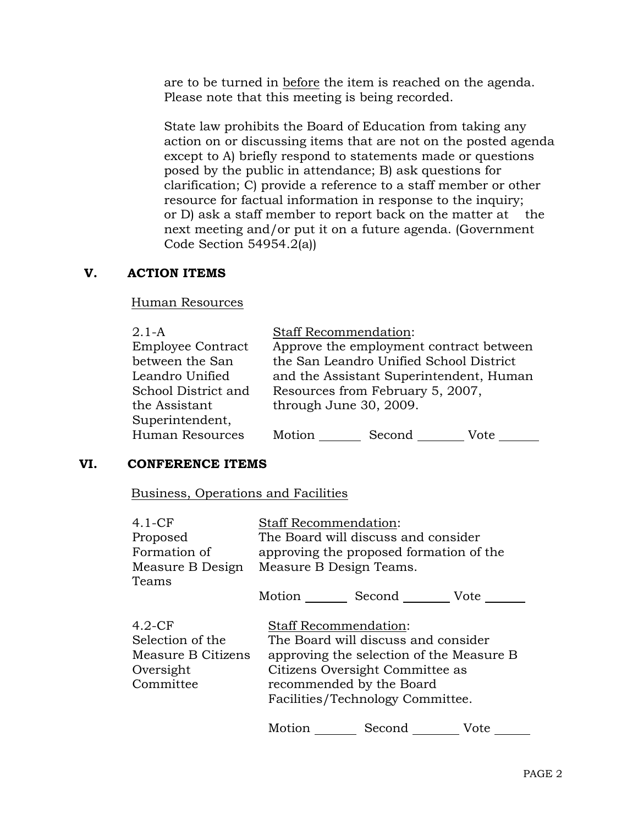are to be turned in before the item is reached on the agenda. Please note that this meeting is being recorded.

 State law prohibits the Board of Education from taking any action on or discussing items that are not on the posted agenda except to A) briefly respond to statements made or questions posed by the public in attendance; B) ask questions for clarification; C) provide a reference to a staff member or other resource for factual information in response to the inquiry; or D) ask a staff member to report back on the matter at the next meeting and/or put it on a future agenda. (Government Code Section 54954.2(a))

# **V. ACTION ITEMS**

### Human Resources

| $2.1-A$                  | <b>Staff Recommendation:</b>            |        |      |  |
|--------------------------|-----------------------------------------|--------|------|--|
| <b>Employee Contract</b> | Approve the employment contract between |        |      |  |
| between the San          | the San Leandro Unified School District |        |      |  |
| Leandro Unified          | and the Assistant Superintendent, Human |        |      |  |
| School District and      | Resources from February 5, 2007,        |        |      |  |
| the Assistant            | through June 30, 2009.                  |        |      |  |
| Superintendent,          |                                         |        |      |  |
| Human Resources          | Motion                                  | Second | Vote |  |

### **VI. CONFERENCE ITEMS**

Business, Operations and Facilities

| $4.1-CF$                                                                      | <b>Staff Recommendation:</b>                                                                                                                                                                                       |                    |      |  |
|-------------------------------------------------------------------------------|--------------------------------------------------------------------------------------------------------------------------------------------------------------------------------------------------------------------|--------------------|------|--|
| Proposed                                                                      | The Board will discuss and consider                                                                                                                                                                                |                    |      |  |
| Formation of                                                                  | approving the proposed formation of the                                                                                                                                                                            |                    |      |  |
| Measure B Design<br>Teams                                                     | Measure B Design Teams.                                                                                                                                                                                            |                    |      |  |
|                                                                               |                                                                                                                                                                                                                    | Motion Second Vote |      |  |
| $4.2$ -CF<br>Selection of the<br>Measure B Citizens<br>Oversight<br>Committee | <b>Staff Recommendation:</b><br>The Board will discuss and consider<br>approving the selection of the Measure B<br>Citizens Oversight Committee as<br>recommended by the Board<br>Facilities/Technology Committee. |                    |      |  |
|                                                                               | Motion                                                                                                                                                                                                             | Second             | Vote |  |